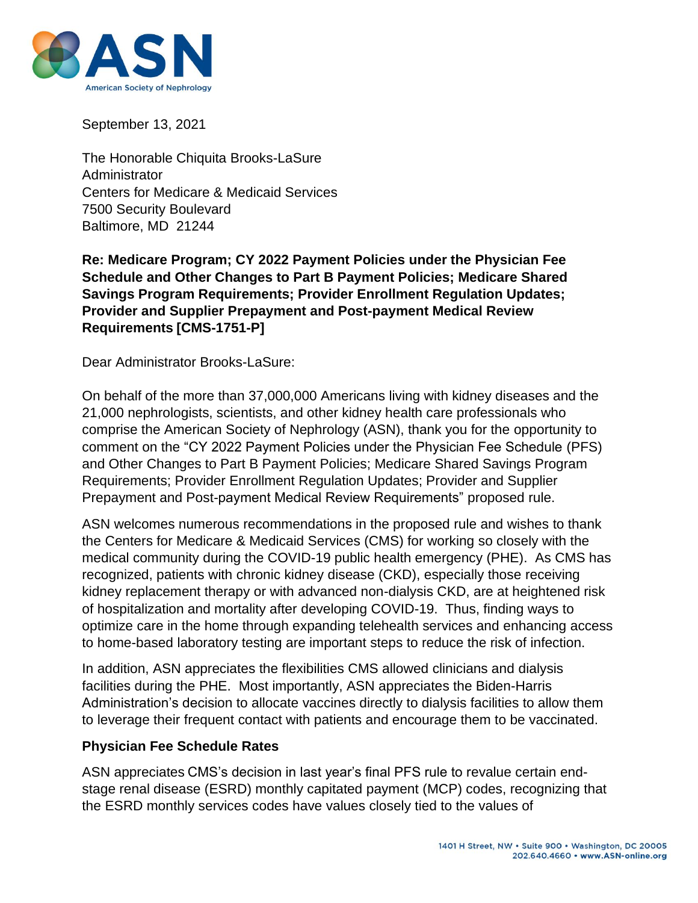

September 13, 2021

The Honorable Chiquita Brooks-LaSure Administrator Centers for Medicare & Medicaid Services 7500 Security Boulevard Baltimore, MD 21244

**Re: Medicare Program; CY 2022 Payment Policies under the Physician Fee Schedule and Other Changes to Part B Payment Policies; Medicare Shared Savings Program Requirements; Provider Enrollment Regulation Updates; Provider and Supplier Prepayment and Post-payment Medical Review Requirements [CMS-1751-P]**

Dear Administrator Brooks-LaSure:

On behalf of the more than 37,000,000 Americans living with kidney diseases and the 21,000 nephrologists, scientists, and other kidney health care professionals who comprise the American Society of Nephrology (ASN), thank you for the opportunity to comment on the "CY 2022 Payment Policies under the Physician Fee Schedule (PFS) and Other Changes to Part B Payment Policies; Medicare Shared Savings Program Requirements; Provider Enrollment Regulation Updates; Provider and Supplier Prepayment and Post-payment Medical Review Requirements" proposed rule.

ASN welcomes numerous recommendations in the proposed rule and wishes to thank the Centers for Medicare & Medicaid Services (CMS) for working so closely with the medical community during the COVID-19 public health emergency (PHE). As CMS has recognized, patients with chronic kidney disease (CKD), especially those receiving kidney replacement therapy or with advanced non-dialysis CKD, are at heightened risk of hospitalization and mortality after developing COVID-19. Thus, finding ways to optimize care in the home through expanding telehealth services and enhancing access to home-based laboratory testing are important steps to reduce the risk of infection.

In addition, ASN appreciates the flexibilities CMS allowed clinicians and dialysis facilities during the PHE. Most importantly, ASN appreciates the Biden-Harris Administration's decision to allocate vaccines directly to dialysis facilities to allow them to leverage their frequent contact with patients and encourage them to be vaccinated.

#### **Physician Fee Schedule Rates**

ASN appreciates CMS's decision in last year's final PFS rule to revalue certain endstage renal disease (ESRD) monthly capitated payment (MCP) codes, recognizing that the ESRD monthly services codes have values closely tied to the values of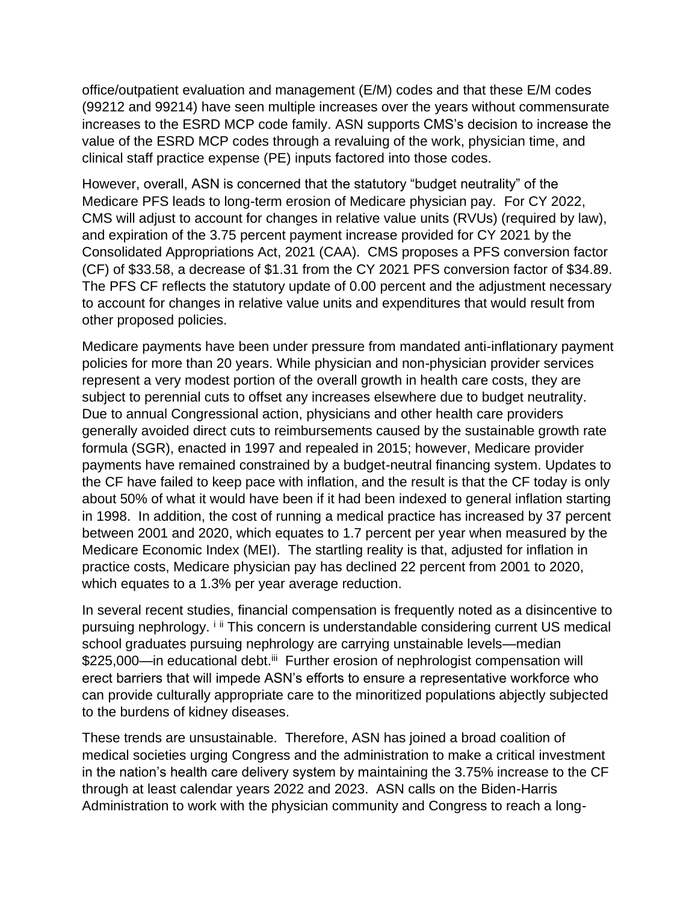office/outpatient evaluation and management (E/M) codes and that these E/M codes (99212 and 99214) have seen multiple increases over the years without commensurate increases to the ESRD MCP code family. ASN supports CMS's decision to increase the value of the ESRD MCP codes through a revaluing of the work, physician time, and clinical staff practice expense (PE) inputs factored into those codes.

However, overall, ASN is concerned that the statutory "budget neutrality" of the Medicare PFS leads to long-term erosion of Medicare physician pay. For CY 2022, CMS will adjust to account for changes in relative value units (RVUs) (required by law), and expiration of the 3.75 percent payment increase provided for CY 2021 by the Consolidated Appropriations Act, 2021 (CAA). CMS proposes a PFS conversion factor (CF) of \$33.58, a decrease of \$1.31 from the CY 2021 PFS conversion factor of \$34.89. The PFS CF reflects the statutory update of 0.00 percent and the adjustment necessary to account for changes in relative value units and expenditures that would result from other proposed policies.

Medicare payments have been under pressure from mandated anti-inflationary payment policies for more than 20 years. While physician and non-physician provider services represent a very modest portion of the overall growth in health care costs, they are subject to perennial cuts to offset any increases elsewhere due to budget neutrality. Due to annual Congressional action, physicians and other health care providers generally avoided direct cuts to reimbursements caused by the sustainable growth rate formula (SGR), enacted in 1997 and repealed in 2015; however, Medicare provider payments have remained constrained by a budget-neutral financing system. Updates to the CF have failed to keep pace with inflation, and the result is that the CF today is only about 50% of what it would have been if it had been indexed to general inflation starting in 1998. In addition, the cost of running a medical practice has increased by 37 percent between 2001 and 2020, which equates to 1.7 percent per year when measured by the Medicare Economic Index (MEI). The startling reality is that, adjusted for inflation in practice costs, Medicare physician pay has declined 22 percent from 2001 to 2020, which equates to a 1.3% per year average reduction.

In several recent studies, financial compensation is frequently noted as a disincentive to pursuing nephrology. <sup>i ii</sup> This concern is understandable considering current US medical school graduates pursuing nephrology are carrying unstainable levels—median \$225,000—in educational debt.<sup>iii</sup> Further erosion of nephrologist compensation will erect barriers that will impede ASN's efforts to ensure a representative workforce who can provide culturally appropriate care to the minoritized populations abjectly subjected to the burdens of kidney diseases.

These trends are unsustainable. Therefore, ASN has joined a broad coalition of medical societies urging Congress and the administration to make a critical investment in the nation's health care delivery system by maintaining the 3.75% increase to the CF through at least calendar years 2022 and 2023. ASN calls on the Biden-Harris Administration to work with the physician community and Congress to reach a long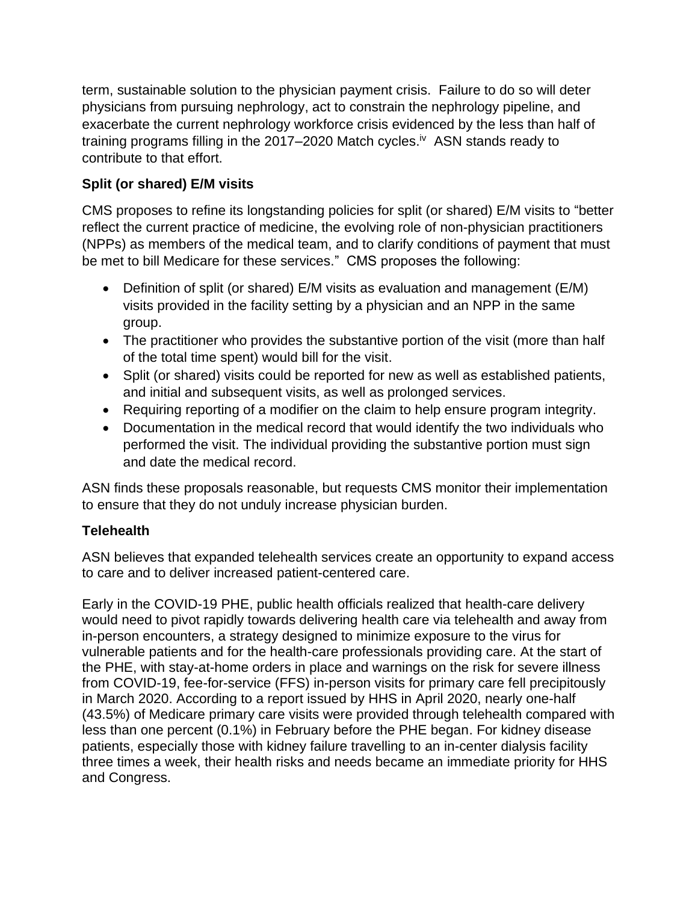term, sustainable solution to the physician payment crisis. Failure to do so will deter physicians from pursuing nephrology, act to constrain the nephrology pipeline, and exacerbate the current nephrology workforce crisis evidenced by the less than half of training programs filling in the 2017–2020 Match cycles.<sup>iv</sup> ASN stands ready to contribute to that effort.

# **Split (or shared) E/M visits**

CMS proposes to refine its longstanding policies for split (or shared) E/M visits to "better reflect the current practice of medicine, the evolving role of non-physician practitioners (NPPs) as members of the medical team, and to clarify conditions of payment that must be met to bill Medicare for these services." CMS proposes the following:

- Definition of split (or shared) E/M visits as evaluation and management (E/M) visits provided in the facility setting by a physician and an NPP in the same group.
- The practitioner who provides the substantive portion of the visit (more than half of the total time spent) would bill for the visit.
- Split (or shared) visits could be reported for new as well as established patients, and initial and subsequent visits, as well as prolonged services.
- Requiring reporting of a modifier on the claim to help ensure program integrity.
- Documentation in the medical record that would identify the two individuals who performed the visit. The individual providing the substantive portion must sign and date the medical record.

ASN finds these proposals reasonable, but requests CMS monitor their implementation to ensure that they do not unduly increase physician burden.

## **Telehealth**

ASN believes that expanded telehealth services create an opportunity to expand access to care and to deliver increased patient-centered care.

Early in the COVID-19 PHE, public health officials realized that health-care delivery would need to pivot rapidly towards delivering health care via telehealth and away from in-person encounters, a strategy designed to minimize exposure to the virus for vulnerable patients and for the health-care professionals providing care. At the start of the PHE, with stay-at-home orders in place and warnings on the risk for severe illness from COVID-19, fee-for-service (FFS) in-person visits for primary care fell precipitously in March 2020. According to a report issued by HHS in April 2020, nearly one-half (43.5%) of Medicare primary care visits were provided through telehealth compared with less than one percent (0.1%) in February before the PHE began. For kidney disease patients, especially those with kidney failure travelling to an in-center dialysis facility three times a week, their health risks and needs became an immediate priority for HHS and Congress.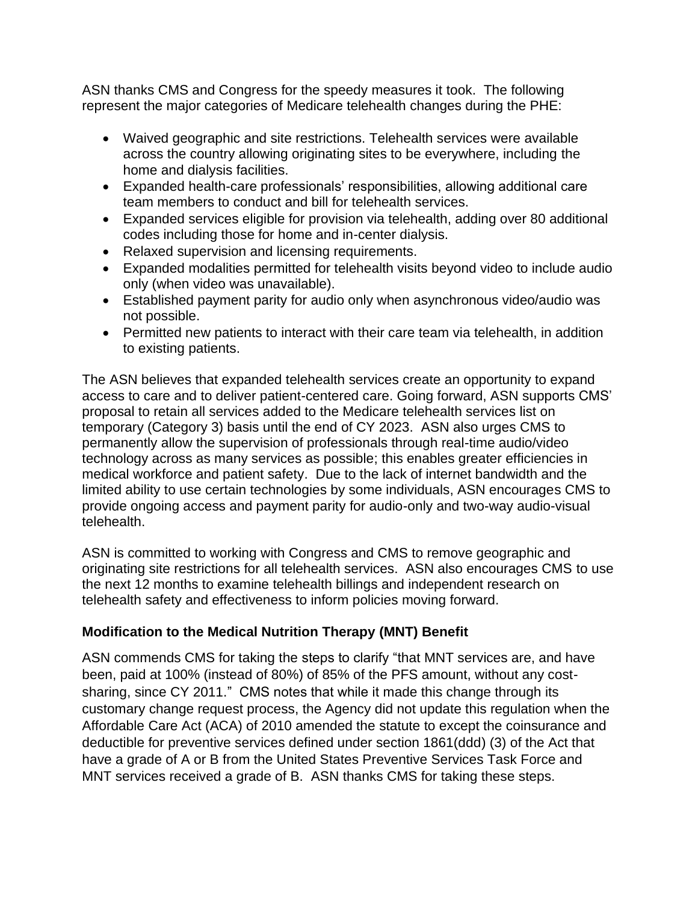ASN thanks CMS and Congress for the speedy measures it took. The following represent the major categories of Medicare telehealth changes during the PHE:

- Waived geographic and site restrictions. Telehealth services were available across the country allowing originating sites to be everywhere, including the home and dialysis facilities.
- Expanded health-care professionals' responsibilities, allowing additional care team members to conduct and bill for telehealth services.
- Expanded services eligible for provision via telehealth, adding over 80 additional codes including those for home and in-center dialysis.
- Relaxed supervision and licensing requirements.
- Expanded modalities permitted for telehealth visits beyond video to include audio only (when video was unavailable).
- Established payment parity for audio only when asynchronous video/audio was not possible.
- Permitted new patients to interact with their care team via telehealth, in addition to existing patients.

The ASN believes that expanded telehealth services create an opportunity to expand access to care and to deliver patient-centered care. Going forward, ASN supports CMS' proposal to retain all services added to the Medicare telehealth services list on temporary (Category 3) basis until the end of CY 2023. ASN also urges CMS to permanently allow the supervision of professionals through real-time audio/video technology across as many services as possible; this enables greater efficiencies in medical workforce and patient safety. Due to the lack of internet bandwidth and the limited ability to use certain technologies by some individuals, ASN encourages CMS to provide ongoing access and payment parity for audio-only and two-way audio-visual telehealth.

ASN is committed to working with Congress and CMS to remove geographic and originating site restrictions for all telehealth services. ASN also encourages CMS to use the next 12 months to examine telehealth billings and independent research on telehealth safety and effectiveness to inform policies moving forward.

## **Modification to the Medical Nutrition Therapy (MNT) Benefit**

ASN commends CMS for taking the steps to clarify "that MNT services are, and have been, paid at 100% (instead of 80%) of 85% of the PFS amount, without any costsharing, since CY 2011." CMS notes that while it made this change through its customary change request process, the Agency did not update this regulation when the Affordable Care Act (ACA) of 2010 amended the statute to except the coinsurance and deductible for preventive services defined under section 1861(ddd) (3) of the Act that have a grade of A or B from the United States Preventive Services Task Force and MNT services received a grade of B. ASN thanks CMS for taking these steps.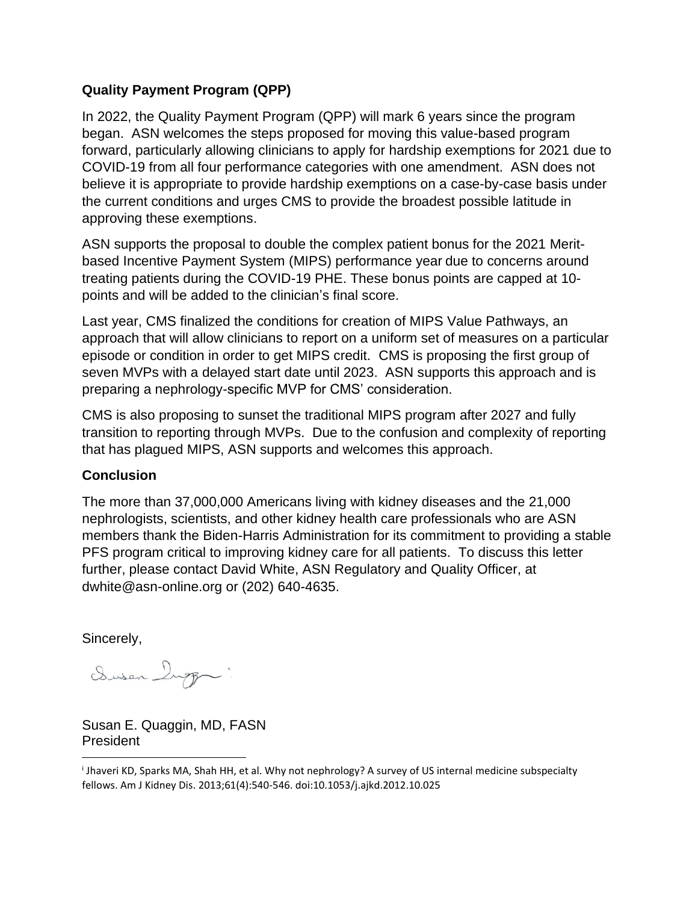## **Quality Payment Program (QPP)**

In 2022, the Quality Payment Program (QPP) will mark 6 years since the program began. ASN welcomes the steps proposed for moving this value-based program forward, particularly allowing clinicians to apply for hardship exemptions for 2021 due to COVID-19 from all four performance categories with one amendment. ASN does not believe it is appropriate to provide hardship exemptions on a case-by-case basis under the current conditions and urges CMS to provide the broadest possible latitude in approving these exemptions.

ASN supports the proposal to double the complex patient bonus for the 2021 Meritbased Incentive Payment System (MIPS) performance year due to concerns around treating patients during the COVID-19 PHE. These bonus points are capped at 10 points and will be added to the clinician's final score.

Last year, CMS finalized the conditions for creation of MIPS Value Pathways, an approach that will allow clinicians to report on a uniform set of measures on a particular episode or condition in order to get MIPS credit. CMS is proposing the first group of seven MVPs with a delayed start date until 2023. ASN supports this approach and is preparing a nephrology-specific MVP for CMS' consideration.

CMS is also proposing to sunset the traditional MIPS program after 2027 and fully transition to reporting through MVPs. Due to the confusion and complexity of reporting that has plagued MIPS, ASN supports and welcomes this approach.

## **Conclusion**

The more than 37,000,000 Americans living with kidney diseases and the 21,000 nephrologists, scientists, and other kidney health care professionals who are ASN members thank the Biden-Harris Administration for its commitment to providing a stable PFS program critical to improving kidney care for all patients. To discuss this letter further, please contact David White, ASN Regulatory and Quality Officer, at dwhite@asn-online.org or (202) 640-4635.

Sincerely,

Dusen Ingg .

Susan E. Quaggin, MD, FASN President

i Jhaveri KD, Sparks MA, Shah HH, et al. Why not nephrology? A survey of US internal medicine subspecialty fellows. Am J Kidney Dis. 2013;61(4):540-546. doi:10.1053/j.ajkd.2012.10.025